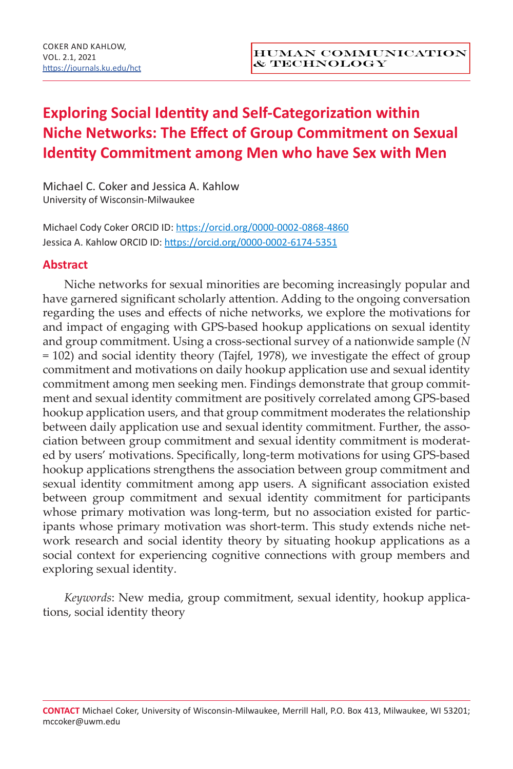# **Exploring Social Identity and Self-Categorization within Niche Networks: The Effect of Group Commitment on Sexual Identity Commitment among Men who have Sex with Men**

Michael C. Coker and Jessica A. Kahlow University of Wisconsin-Milwaukee

Michael Cody Coker ORCID ID: https://orcid.org/0000-0002-0868-4860 Jessica A. Kahlow ORCID ID: https://orcid.org/0000-0002-6174-5351

## **Abstract**

Niche networks for sexual minorities are becoming increasingly popular and have garnered significant scholarly attention. Adding to the ongoing conversation regarding the uses and effects of niche networks, we explore the motivations for and impact of engaging with GPS-based hookup applications on sexual identity and group commitment. Using a cross-sectional survey of a nationwide sample (*N* = 102) and social identity theory (Tajfel, 1978), we investigate the effect of group commitment and motivations on daily hookup application use and sexual identity commitment among men seeking men. Findings demonstrate that group commitment and sexual identity commitment are positively correlated among GPS-based hookup application users, and that group commitment moderates the relationship between daily application use and sexual identity commitment. Further, the association between group commitment and sexual identity commitment is moderated by users' motivations. Specifically, long-term motivations for using GPS-based hookup applications strengthens the association between group commitment and sexual identity commitment among app users. A significant association existed between group commitment and sexual identity commitment for participants whose primary motivation was long-term, but no association existed for participants whose primary motivation was short-term. This study extends niche network research and social identity theory by situating hookup applications as a social context for experiencing cognitive connections with group members and exploring sexual identity.

*Keywords*: New media, group commitment, sexual identity, hookup applications, social identity theory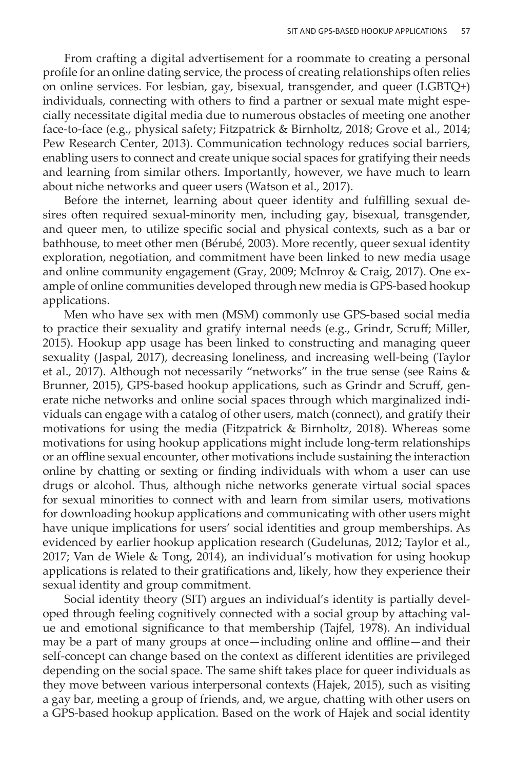From crafting a digital advertisement for a roommate to creating a personal profile for an online dating service, the process of creating relationships often relies on online services. For lesbian, gay, bisexual, transgender, and queer (LGBTQ+) individuals, connecting with others to find a partner or sexual mate might especially necessitate digital media due to numerous obstacles of meeting one another face-to-face (e.g., physical safety; Fitzpatrick & Birnholtz, 2018; Grove et al., 2014; Pew Research Center, 2013). Communication technology reduces social barriers, enabling users to connect and create unique social spaces for gratifying their needs and learning from similar others. Importantly, however, we have much to learn about niche networks and queer users (Watson et al., 2017).

Before the internet, learning about queer identity and fulfilling sexual desires often required sexual-minority men, including gay, bisexual, transgender, and queer men, to utilize specific social and physical contexts, such as a bar or bathhouse, to meet other men (Bérubé, 2003). More recently, queer sexual identity exploration, negotiation, and commitment have been linked to new media usage and online community engagement (Gray, 2009; McInroy & Craig, 2017). One example of online communities developed through new media is GPS-based hookup applications.

Men who have sex with men (MSM) commonly use GPS-based social media to practice their sexuality and gratify internal needs (e.g., Grindr, Scruff; Miller, 2015). Hookup app usage has been linked to constructing and managing queer sexuality (Jaspal, 2017), decreasing loneliness, and increasing well-being (Taylor et al., 2017). Although not necessarily "networks" in the true sense (see Rains & Brunner, 2015), GPS-based hookup applications, such as Grindr and Scruff, generate niche networks and online social spaces through which marginalized individuals can engage with a catalog of other users, match (connect), and gratify their motivations for using the media (Fitzpatrick & Birnholtz, 2018). Whereas some motivations for using hookup applications might include long-term relationships or an offline sexual encounter, other motivations include sustaining the interaction online by chatting or sexting or finding individuals with whom a user can use drugs or alcohol. Thus, although niche networks generate virtual social spaces for sexual minorities to connect with and learn from similar users, motivations for downloading hookup applications and communicating with other users might have unique implications for users' social identities and group memberships. As evidenced by earlier hookup application research (Gudelunas, 2012; Taylor et al., 2017; Van de Wiele & Tong, 2014), an individual's motivation for using hookup applications is related to their gratifications and, likely, how they experience their sexual identity and group commitment.

Social identity theory (SIT) argues an individual's identity is partially developed through feeling cognitively connected with a social group by attaching value and emotional significance to that membership (Tajfel, 1978). An individual may be a part of many groups at once—including online and offline—and their self-concept can change based on the context as different identities are privileged depending on the social space. The same shift takes place for queer individuals as they move between various interpersonal contexts (Hajek, 2015), such as visiting a gay bar, meeting a group of friends, and, we argue, chatting with other users on a GPS-based hookup application. Based on the work of Hajek and social identity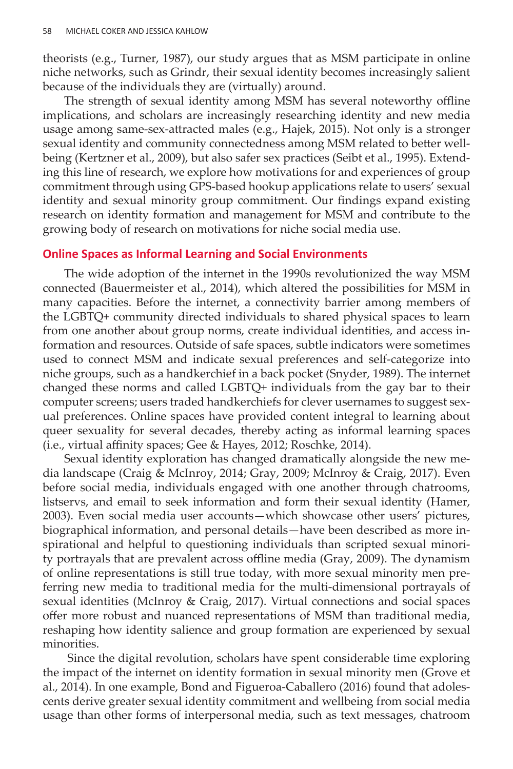theorists (e.g., Turner, 1987), our study argues that as MSM participate in online niche networks, such as Grindr, their sexual identity becomes increasingly salient because of the individuals they are (virtually) around.

The strength of sexual identity among MSM has several noteworthy offline implications, and scholars are increasingly researching identity and new media usage among same-sex-attracted males (e.g., Hajek, 2015). Not only is a stronger sexual identity and community connectedness among MSM related to better wellbeing (Kertzner et al., 2009), but also safer sex practices (Seibt et al., 1995). Extending this line of research, we explore how motivations for and experiences of group commitment through using GPS-based hookup applications relate to users' sexual identity and sexual minority group commitment. Our findings expand existing research on identity formation and management for MSM and contribute to the growing body of research on motivations for niche social media use.

#### **Online Spaces as Informal Learning and Social Environments**

The wide adoption of the internet in the 1990s revolutionized the way MSM connected (Bauermeister et al., 2014), which altered the possibilities for MSM in many capacities. Before the internet, a connectivity barrier among members of the LGBTQ+ community directed individuals to shared physical spaces to learn from one another about group norms, create individual identities, and access information and resources. Outside of safe spaces, subtle indicators were sometimes used to connect MSM and indicate sexual preferences and self-categorize into niche groups, such as a handkerchief in a back pocket (Snyder, 1989). The internet changed these norms and called LGBTQ+ individuals from the gay bar to their computer screens; users traded handkerchiefs for clever usernames to suggest sexual preferences. Online spaces have provided content integral to learning about queer sexuality for several decades, thereby acting as informal learning spaces (i.e., virtual affinity spaces; Gee & Hayes, 2012; Roschke, 2014).

Sexual identity exploration has changed dramatically alongside the new media landscape (Craig & McInroy, 2014; Gray, 2009; McInroy & Craig, 2017). Even before social media, individuals engaged with one another through chatrooms, listservs, and email to seek information and form their sexual identity (Hamer, 2003). Even social media user accounts—which showcase other users' pictures, biographical information, and personal details—have been described as more inspirational and helpful to questioning individuals than scripted sexual minority portrayals that are prevalent across offline media (Gray, 2009). The dynamism of online representations is still true today, with more sexual minority men preferring new media to traditional media for the multi-dimensional portrayals of sexual identities (McInroy & Craig, 2017). Virtual connections and social spaces offer more robust and nuanced representations of MSM than traditional media, reshaping how identity salience and group formation are experienced by sexual minorities.

 Since the digital revolution, scholars have spent considerable time exploring the impact of the internet on identity formation in sexual minority men (Grove et al., 2014). In one example, Bond and Figueroa-Caballero (2016) found that adolescents derive greater sexual identity commitment and wellbeing from social media usage than other forms of interpersonal media, such as text messages, chatroom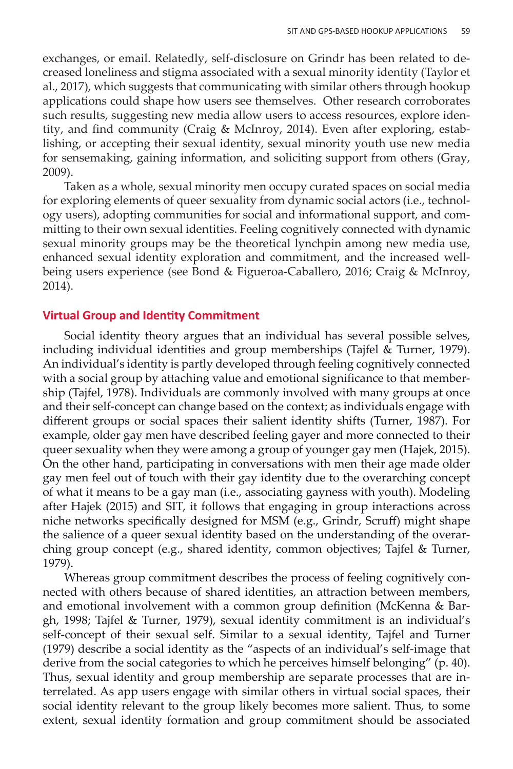exchanges, or email. Relatedly, self-disclosure on Grindr has been related to decreased loneliness and stigma associated with a sexual minority identity (Taylor et al., 2017), which suggests that communicating with similar others through hookup applications could shape how users see themselves. Other research corroborates such results, suggesting new media allow users to access resources, explore identity, and find community (Craig & McInroy, 2014). Even after exploring, establishing, or accepting their sexual identity, sexual minority youth use new media for sensemaking, gaining information, and soliciting support from others (Gray, 2009).

Taken as a whole, sexual minority men occupy curated spaces on social media for exploring elements of queer sexuality from dynamic social actors (i.e., technology users), adopting communities for social and informational support, and committing to their own sexual identities. Feeling cognitively connected with dynamic sexual minority groups may be the theoretical lynchpin among new media use, enhanced sexual identity exploration and commitment, and the increased wellbeing users experience (see Bond & Figueroa-Caballero, 2016; Craig & McInroy, 2014).

## **Virtual Group and Identity Commitment**

Social identity theory argues that an individual has several possible selves, including individual identities and group memberships (Tajfel & Turner, 1979). An individual's identity is partly developed through feeling cognitively connected with a social group by attaching value and emotional significance to that membership (Tajfel, 1978). Individuals are commonly involved with many groups at once and their self-concept can change based on the context; as individuals engage with different groups or social spaces their salient identity shifts (Turner, 1987). For example, older gay men have described feeling gayer and more connected to their queer sexuality when they were among a group of younger gay men (Hajek, 2015). On the other hand, participating in conversations with men their age made older gay men feel out of touch with their gay identity due to the overarching concept of what it means to be a gay man (i.e., associating gayness with youth). Modeling after Hajek (2015) and SIT, it follows that engaging in group interactions across niche networks specifically designed for MSM (e.g., Grindr, Scruff) might shape the salience of a queer sexual identity based on the understanding of the overarching group concept (e.g., shared identity, common objectives; Tajfel & Turner, 1979).

Whereas group commitment describes the process of feeling cognitively connected with others because of shared identities, an attraction between members, and emotional involvement with a common group definition (McKenna & Bargh, 1998; Tajfel & Turner, 1979), sexual identity commitment is an individual's self-concept of their sexual self. Similar to a sexual identity, Tajfel and Turner (1979) describe a social identity as the "aspects of an individual's self-image that derive from the social categories to which he perceives himself belonging" (p. 40). Thus, sexual identity and group membership are separate processes that are interrelated. As app users engage with similar others in virtual social spaces, their social identity relevant to the group likely becomes more salient. Thus, to some extent, sexual identity formation and group commitment should be associated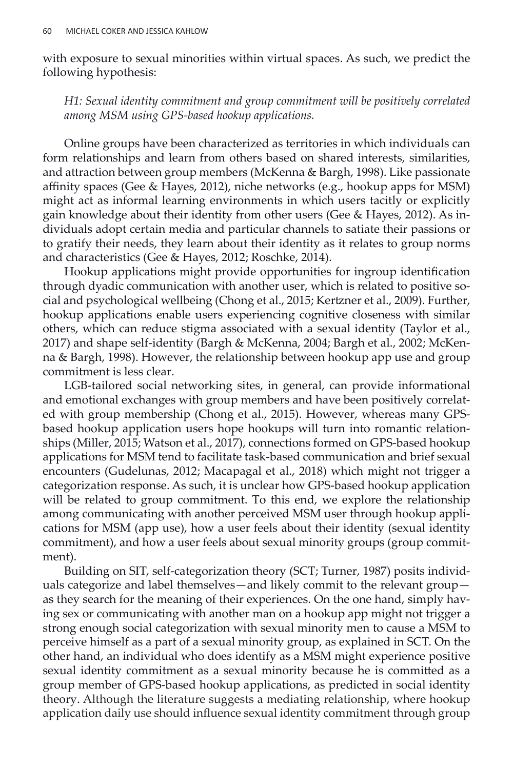with exposure to sexual minorities within virtual spaces. As such, we predict the following hypothesis:

*H1: Sexual identity commitment and group commitment will be positively correlated among MSM using GPS-based hookup applications.*

Online groups have been characterized as territories in which individuals can form relationships and learn from others based on shared interests, similarities, and attraction between group members (McKenna & Bargh, 1998). Like passionate affinity spaces (Gee & Hayes, 2012), niche networks (e.g., hookup apps for MSM) might act as informal learning environments in which users tacitly or explicitly gain knowledge about their identity from other users (Gee & Hayes, 2012). As individuals adopt certain media and particular channels to satiate their passions or to gratify their needs, they learn about their identity as it relates to group norms and characteristics (Gee & Hayes, 2012; Roschke, 2014).

Hookup applications might provide opportunities for ingroup identification through dyadic communication with another user, which is related to positive social and psychological wellbeing (Chong et al., 2015; Kertzner et al., 2009). Further, hookup applications enable users experiencing cognitive closeness with similar others, which can reduce stigma associated with a sexual identity (Taylor et al., 2017) and shape self-identity (Bargh & McKenna, 2004; Bargh et al., 2002; McKenna & Bargh, 1998). However, the relationship between hookup app use and group commitment is less clear.

LGB-tailored social networking sites, in general, can provide informational and emotional exchanges with group members and have been positively correlated with group membership (Chong et al., 2015). However, whereas many GPSbased hookup application users hope hookups will turn into romantic relationships (Miller, 2015; Watson et al., 2017), connections formed on GPS-based hookup applications for MSM tend to facilitate task-based communication and brief sexual encounters (Gudelunas, 2012; Macapagal et al., 2018) which might not trigger a categorization response. As such, it is unclear how GPS-based hookup application will be related to group commitment. To this end, we explore the relationship among communicating with another perceived MSM user through hookup applications for MSM (app use), how a user feels about their identity (sexual identity commitment), and how a user feels about sexual minority groups (group commitment).

Building on SIT, self-categorization theory (SCT; Turner, 1987) posits individuals categorize and label themselves—and likely commit to the relevant group as they search for the meaning of their experiences. On the one hand, simply having sex or communicating with another man on a hookup app might not trigger a strong enough social categorization with sexual minority men to cause a MSM to perceive himself as a part of a sexual minority group, as explained in SCT. On the other hand, an individual who does identify as a MSM might experience positive sexual identity commitment as a sexual minority because he is committed as a group member of GPS-based hookup applications, as predicted in social identity theory. Although the literature suggests a mediating relationship, where hookup application daily use should influence sexual identity commitment through group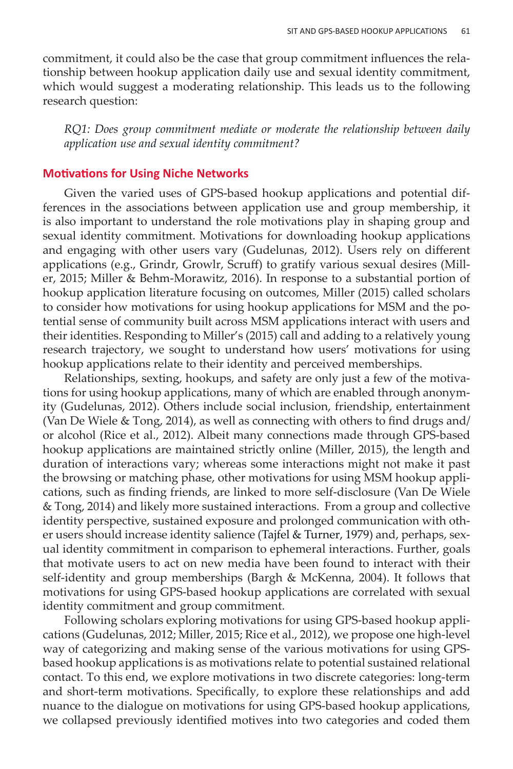commitment, it could also be the case that group commitment influences the relationship between hookup application daily use and sexual identity commitment, which would suggest a moderating relationship. This leads us to the following research question:

*RQ1: Does group commitment mediate or moderate the relationship between daily application use and sexual identity commitment?* 

### **Motivations for Using Niche Networks**

Given the varied uses of GPS-based hookup applications and potential differences in the associations between application use and group membership, it is also important to understand the role motivations play in shaping group and sexual identity commitment. Motivations for downloading hookup applications and engaging with other users vary (Gudelunas, 2012). Users rely on different applications (e.g., Grindr, Growlr, Scruff) to gratify various sexual desires (Miller, 2015; Miller & Behm-Morawitz, 2016). In response to a substantial portion of hookup application literature focusing on outcomes, Miller (2015) called scholars to consider how motivations for using hookup applications for MSM and the potential sense of community built across MSM applications interact with users and their identities. Responding to Miller's (2015) call and adding to a relatively young research trajectory, we sought to understand how users' motivations for using hookup applications relate to their identity and perceived memberships.

Relationships, sexting, hookups, and safety are only just a few of the motivations for using hookup applications, many of which are enabled through anonymity (Gudelunas, 2012). Others include social inclusion, friendship, entertainment (Van De Wiele & Tong, 2014), as well as connecting with others to find drugs and/ or alcohol (Rice et al., 2012). Albeit many connections made through GPS-based hookup applications are maintained strictly online (Miller, 2015), the length and duration of interactions vary; whereas some interactions might not make it past the browsing or matching phase, other motivations for using MSM hookup applications, such as finding friends, are linked to more self-disclosure (Van De Wiele & Tong, 2014) and likely more sustained interactions. From a group and collective identity perspective, sustained exposure and prolonged communication with other users should increase identity salience (Tajfel & Turner, 1979) and, perhaps, sexual identity commitment in comparison to ephemeral interactions. Further, goals that motivate users to act on new media have been found to interact with their self-identity and group memberships (Bargh & McKenna, 2004). It follows that motivations for using GPS-based hookup applications are correlated with sexual identity commitment and group commitment.

Following scholars exploring motivations for using GPS-based hookup applications (Gudelunas, 2012; Miller, 2015; Rice et al., 2012), we propose one high-level way of categorizing and making sense of the various motivations for using GPSbased hookup applications is as motivations relate to potential sustained relational contact. To this end, we explore motivations in two discrete categories: long-term and short-term motivations. Specifically, to explore these relationships and add nuance to the dialogue on motivations for using GPS-based hookup applications, we collapsed previously identified motives into two categories and coded them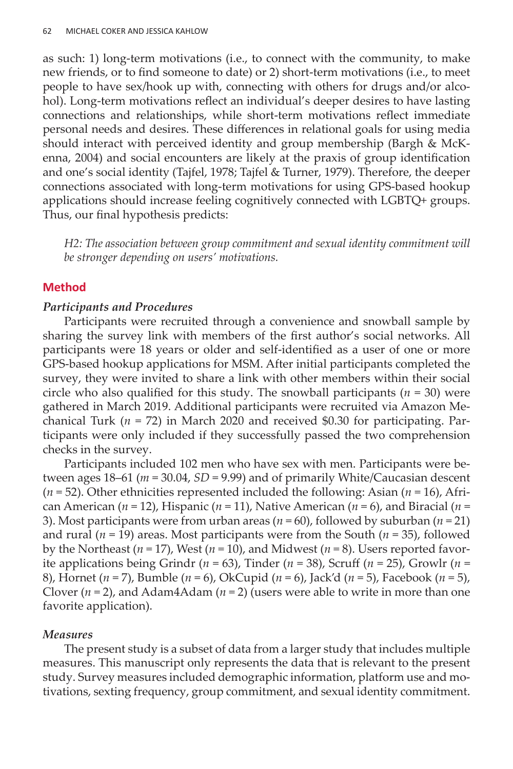as such: 1) long-term motivations (i.e., to connect with the community, to make new friends, or to find someone to date) or 2) short-term motivations (i.e., to meet people to have sex/hook up with, connecting with others for drugs and/or alcohol). Long-term motivations reflect an individual's deeper desires to have lasting connections and relationships, while short-term motivations reflect immediate personal needs and desires. These differences in relational goals for using media should interact with perceived identity and group membership (Bargh & McKenna, 2004) and social encounters are likely at the praxis of group identification and one's social identity (Tajfel, 1978; Tajfel & Turner, 1979). Therefore, the deeper connections associated with long-term motivations for using GPS-based hookup applications should increase feeling cognitively connected with LGBTQ+ groups. Thus, our final hypothesis predicts:

H2: The association between group commitment and sexual identity commitment will *be stronger depending on users' motivations.* 

## **Method**

## *Participants and Procedures*

Participants were recruited through a convenience and snowball sample by sharing the survey link with members of the first author's social networks. All participants were 18 years or older and self-identified as a user of one or more GPS-based hookup applications for MSM. After initial participants completed the survey, they were invited to share a link with other members within their social circle who also qualified for this study. The snowball participants  $(n = 30)$  were gathered in March 2019. Additional participants were recruited via Amazon Mechanical Turk (*n* = 72) in March 2020 and received \$0.30 for participating. Participants were only included if they successfully passed the two comprehension checks in the survey.

Participants included 102 men who have sex with men. Participants were between ages 18–61 (*m* = 30.04, *SD* = 9.99) and of primarily White/Caucasian descent (*n* = 52). Other ethnicities represented included the following: Asian (*n* = 16), African American ( $n = 12$ ), Hispanic ( $n = 11$ ), Native American ( $n = 6$ ), and Biracial ( $n = 12$ ) 3). Most participants were from urban areas ( $n = 60$ ), followed by suburban ( $n = 21$ ) and rural ( $n = 19$ ) areas. Most participants were from the South ( $n = 35$ ), followed by the Northeast ( $n = 17$ ), West ( $n = 10$ ), and Midwest ( $n = 8$ ). Users reported favorite applications being Grindr ( $n = 63$ ), Tinder ( $n = 38$ ), Scruff ( $n = 25$ ), Growlr ( $n =$ 8), Hornet (*n* = 7), Bumble (*n* = 6), OkCupid (*n* = 6), Jack'd (*n* = 5), Facebook (*n* = 5), Clover  $(n = 2)$ , and Adam4Adam  $(n = 2)$  (users were able to write in more than one favorite application).

## *Measures*

The present study is a subset of data from a larger study that includes multiple measures. This manuscript only represents the data that is relevant to the present study. Survey measures included demographic information, platform use and motivations, sexting frequency, group commitment, and sexual identity commitment.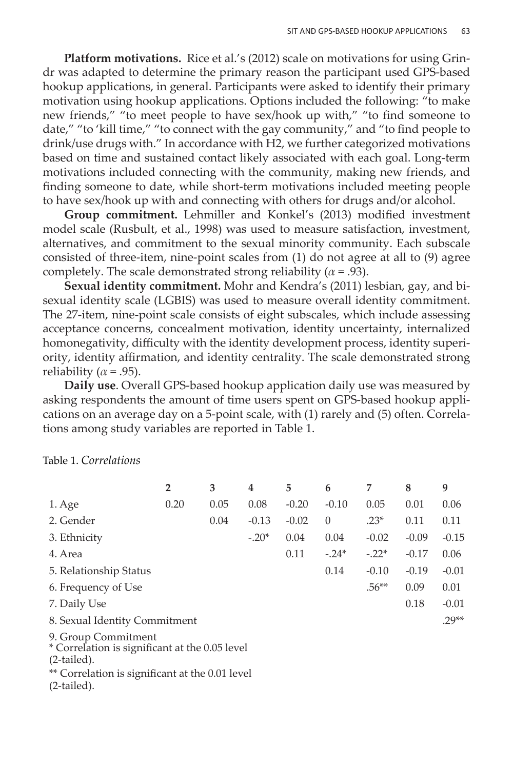**Platform motivations.** Rice et al.'s (2012) scale on motivations for using Grindr was adapted to determine the primary reason the participant used GPS-based hookup applications, in general. Participants were asked to identify their primary motivation using hookup applications. Options included the following: "to make new friends," "to meet people to have sex/hook up with," "to find someone to date," "to 'kill time," "to connect with the gay community," and "to find people to drink/use drugs with." In accordance with H2, we further categorized motivations based on time and sustained contact likely associated with each goal. Long-term motivations included connecting with the community, making new friends, and finding someone to date, while short-term motivations included meeting people to have sex/hook up with and connecting with others for drugs and/or alcohol.

**Group commitment.** Lehmiller and Konkel's (2013) modified investment model scale (Rusbult, et al., 1998) was used to measure satisfaction, investment, alternatives, and commitment to the sexual minority community. Each subscale consisted of three-item, nine-point scales from (1) do not agree at all to (9) agree completely. The scale demonstrated strong reliability ( $\alpha$  = .93).

**Sexual identity commitment.** Mohr and Kendra's (2011) lesbian, gay, and bisexual identity scale (LGBIS) was used to measure overall identity commitment. The 27-item, nine-point scale consists of eight subscales, which include assessing acceptance concerns, concealment motivation, identity uncertainty, internalized homonegativity, difficulty with the identity development process, identity superiority, identity affirmation, and identity centrality. The scale demonstrated strong reliability ( $\alpha$  = .95).

**Daily use**. Overall GPS-based hookup application daily use was measured by asking respondents the amount of time users spent on GPS-based hookup applications on an average day on a 5-point scale, with (1) rarely and (5) often. Correlations among study variables are reported in Table 1.

Table 1. *Correlations*

|                                                                                        | $\overline{2}$ | 3    | 4       | 5       | 6        | 7       | 8       | 9       |
|----------------------------------------------------------------------------------------|----------------|------|---------|---------|----------|---------|---------|---------|
| 1. Age                                                                                 | 0.20           | 0.05 | 0.08    | $-0.20$ | $-0.10$  | 0.05    | 0.01    | 0.06    |
| 2. Gender                                                                              |                | 0.04 | $-0.13$ | $-0.02$ | $\theta$ | $.23*$  | 0.11    | 0.11    |
| 3. Ethnicity                                                                           |                |      | $-.20*$ | 0.04    | 0.04     | $-0.02$ | $-0.09$ | $-0.15$ |
| 4. Area                                                                                |                |      |         | 0.11    | $-.24*$  | $-.22*$ | $-0.17$ | 0.06    |
| 5. Relationship Status                                                                 |                |      |         |         | 0.14     | $-0.10$ | $-0.19$ | $-0.01$ |
| 6. Frequency of Use                                                                    |                |      |         |         |          | $.56**$ | 0.09    | 0.01    |
| 7. Daily Use                                                                           |                |      |         |         |          |         | 0.18    | $-0.01$ |
| 8. Sexual Identity Commitment                                                          |                |      |         |         |          |         |         | $29**$  |
| 9. Group Commitment<br>* Correlation is significant at the 0.05 level<br>$(2-tailed).$ |                |      |         |         |          |         |         |         |

\*\* Correlation is significant at the 0.01 level

(2-tailed).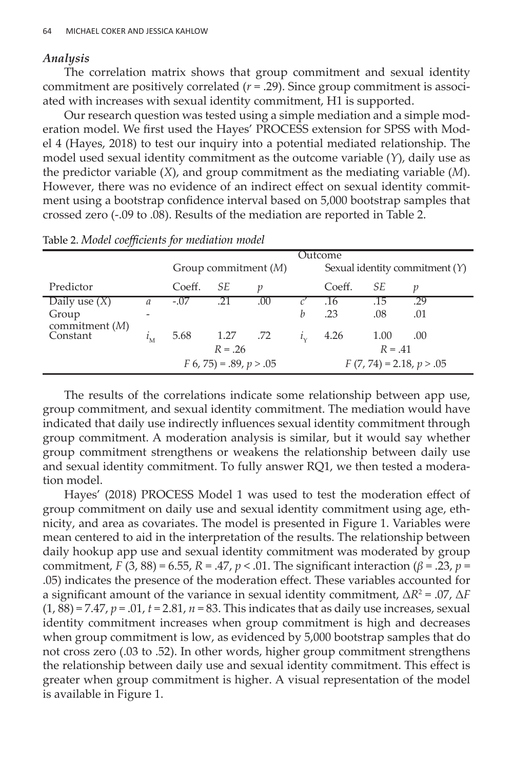#### *Analysis*

The correlation matrix shows that group commitment and sexual identity commitment are positively correlated  $(r = .29)$ . Since group commitment is associated with increases with sexual identity commitment, H1 is supported.

Our research question was tested using a simple mediation and a simple moderation model. We first used the Hayes' PROCESS extension for SPSS with Model 4 (Hayes, 2018) to test our inquiry into a potential mediated relationship. The model used sexual identity commitment as the outcome variable (*Y*), daily use as the predictor variable (*X*), and group commitment as the mediating variable (*M*). However, there was no evidence of an indirect effect on sexual identity commitment using a bootstrap confidence interval based on 5,000 bootstrap samples that crossed zero (-.09 to .08). Results of the mediation are reported in Table 2.

| ◡                         |               |                           |      |     |           |                                  |      |       |  |
|---------------------------|---------------|---------------------------|------|-----|-----------|----------------------------------|------|-------|--|
|                           |               | Outcome                   |      |     |           |                                  |      |       |  |
|                           |               | Group commitment $(M)$    |      |     |           | Sexual identity commitment $(Y)$ |      |       |  |
| Predictor                 |               | Coeff.                    | SE   | v   |           | Coeff.                           | SE   | v     |  |
| Daily use $(X)$           | $\mathfrak a$ | $-.07$                    |      | .00 |           | .16                              | .15  | $-29$ |  |
| Group<br>commitment $(M)$ |               |                           |      |     | h         | .23                              | .08  | .01   |  |
| Constant                  |               | 5.68                      | 1.27 | .72 | $l_{\nu}$ | 4.26                             | 1.00 | .00   |  |
|                           |               | $R = .26$                 |      |     |           | $R = .41$                        |      |       |  |
|                           |               | $F(6, 75) = .89, p > .05$ |      |     |           | $F(7, 74) = 2.18, p > .05$       |      |       |  |

Table 2. *Model coefficients for mediation model*

The results of the correlations indicate some relationship between app use, group commitment, and sexual identity commitment. The mediation would have indicated that daily use indirectly influences sexual identity commitment through group commitment. A moderation analysis is similar, but it would say whether group commitment strengthens or weakens the relationship between daily use and sexual identity commitment. To fully answer RQ1, we then tested a moderation model.

Hayes' (2018) PROCESS Model 1 was used to test the moderation effect of group commitment on daily use and sexual identity commitment using age, ethnicity, and area as covariates. The model is presented in Figure 1. Variables were mean centered to aid in the interpretation of the results. The relationship between daily hookup app use and sexual identity commitment was moderated by group commitment, *F* (3, 88) = 6.55, *R* = .47, *p* < .01. The significant interaction (*β* = .23, *p* = .05) indicates the presence of the moderation effect. These variables accounted for a significant amount of the variance in sexual identity commitment, Δ*R*<sup>2</sup> = .07, Δ*F*   $(1, 88) = 7.47$ ,  $p = .01$ ,  $t = 2.81$ ,  $n = 83$ . This indicates that as daily use increases, sexual identity commitment increases when group commitment is high and decreases when group commitment is low, as evidenced by 5,000 bootstrap samples that do not cross zero (.03 to .52). In other words, higher group commitment strengthens the relationship between daily use and sexual identity commitment. This effect is greater when group commitment is higher. A visual representation of the model is available in Figure 1.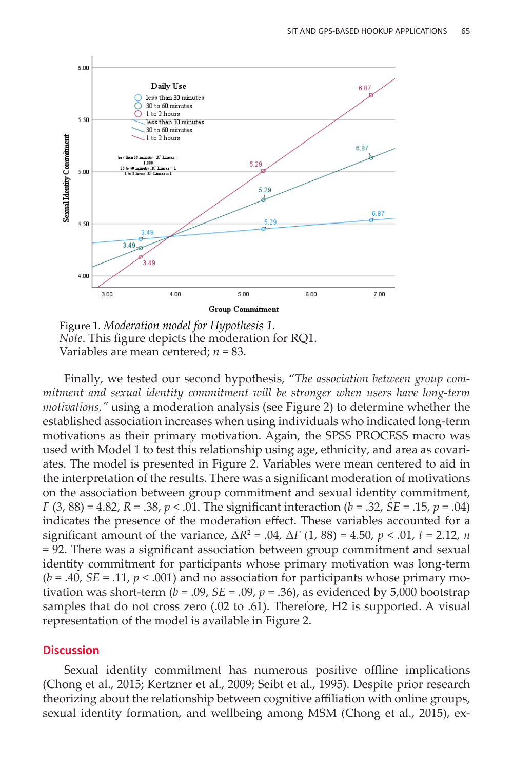

Figure 1. *Moderation model for Hypothesis 1. Note*. This figure depicts the moderation for RQ1. Variables are mean centered; *n* = 83.

Finally, we tested our second hypothesis, "*The association between group commitment and sexual identity commitment will be stronger when users have long-term motivations,"* using a moderation analysis (see Figure 2) to determine whether the established association increases when using individuals who indicated long-term motivations as their primary motivation. Again, the SPSS PROCESS macro was used with Model 1 to test this relationship using age, ethnicity, and area as covariates. The model is presented in Figure 2. Variables were mean centered to aid in the interpretation of the results. There was a significant moderation of motivations on the association between group commitment and sexual identity commitment, *F* (3, 88) = 4.82, *R* = .38, *p* < .01. The significant interaction (*b* = .32, *SE* = .15, *p* = .04) indicates the presence of the moderation effect. These variables accounted for a significant amount of the variance,  $\Delta R^2 = .04$ ,  $\Delta F (1, 88) = 4.50$ ,  $p < .01$ ,  $t = 2.12$ ,  $n = 10$ = 92. There was a significant association between group commitment and sexual identity commitment for participants whose primary motivation was long-term  $(b = .40, SE = .11, p < .001)$  and no association for participants whose primary motivation was short-term ( $b = .09$ ,  $SE = .09$ ,  $p = .36$ ), as evidenced by 5,000 bootstrap samples that do not cross zero (.02 to .61). Therefore, H2 is supported. A visual representation of the model is available in Figure 2.

#### **Discussion**

Sexual identity commitment has numerous positive offline implications (Chong et al., 2015; Kertzner et al., 2009; Seibt et al., 1995). Despite prior research theorizing about the relationship between cognitive affiliation with online groups, sexual identity formation, and wellbeing among MSM (Chong et al., 2015), ex-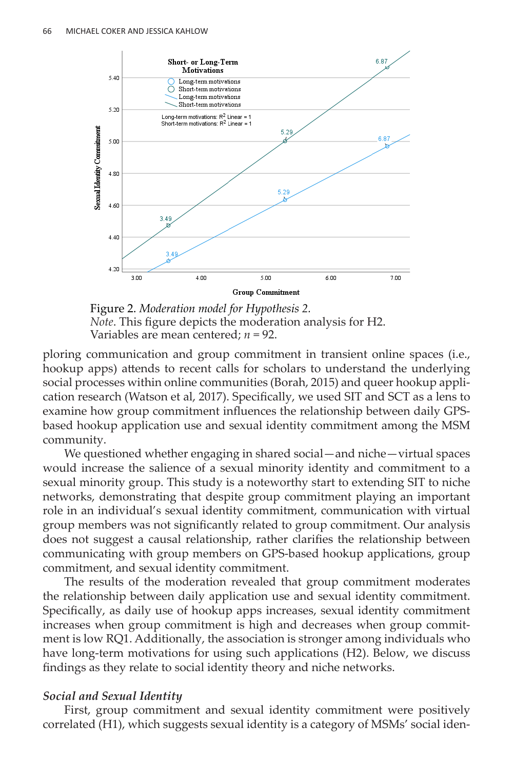

Figure 2. *Moderation model for Hypothesis 2. Note*. This figure depicts the moderation analysis for H2. Variables are mean centered; *n* = 92.

ploring communication and group commitment in transient online spaces (i.e., hookup apps) attends to recent calls for scholars to understand the underlying social processes within online communities (Borah, 2015) and queer hookup application research (Watson et al, 2017). Specifically, we used SIT and SCT as a lens to examine how group commitment influences the relationship between daily GPSbased hookup application use and sexual identity commitment among the MSM community.

We questioned whether engaging in shared social—and niche—virtual spaces would increase the salience of a sexual minority identity and commitment to a sexual minority group. This study is a noteworthy start to extending SIT to niche networks, demonstrating that despite group commitment playing an important role in an individual's sexual identity commitment, communication with virtual group members was not significantly related to group commitment. Our analysis does not suggest a causal relationship, rather clarifies the relationship between communicating with group members on GPS-based hookup applications, group commitment, and sexual identity commitment.

The results of the moderation revealed that group commitment moderates the relationship between daily application use and sexual identity commitment. Specifically, as daily use of hookup apps increases, sexual identity commitment increases when group commitment is high and decreases when group commitment is low RQ1. Additionally, the association is stronger among individuals who have long-term motivations for using such applications (H2). Below, we discuss findings as they relate to social identity theory and niche networks.

## *Social and Sexual Identity*

First, group commitment and sexual identity commitment were positively correlated (H1), which suggests sexual identity is a category of MSMs' social iden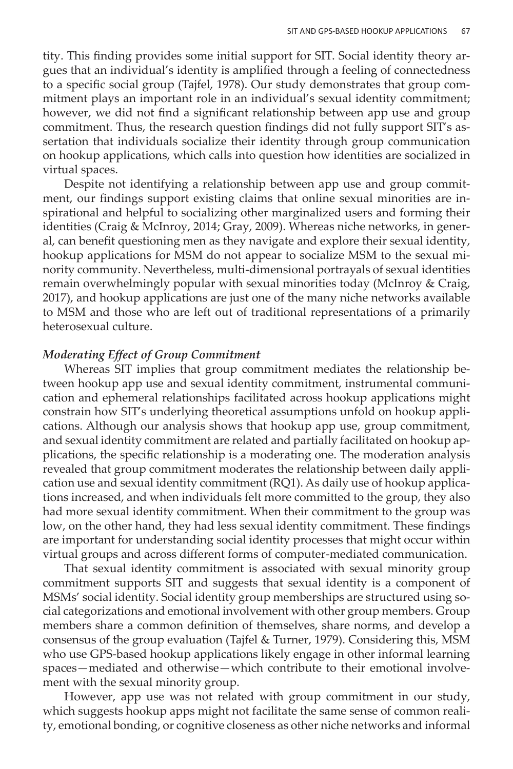tity. This finding provides some initial support for SIT. Social identity theory argues that an individual's identity is amplified through a feeling of connectedness to a specific social group (Tajfel, 1978). Our study demonstrates that group commitment plays an important role in an individual's sexual identity commitment; however, we did not find a significant relationship between app use and group commitment. Thus, the research question findings did not fully support SIT's assertation that individuals socialize their identity through group communication on hookup applications, which calls into question how identities are socialized in virtual spaces.

Despite not identifying a relationship between app use and group commitment, our findings support existing claims that online sexual minorities are inspirational and helpful to socializing other marginalized users and forming their identities (Craig & McInroy, 2014; Gray, 2009). Whereas niche networks, in general, can benefit questioning men as they navigate and explore their sexual identity, hookup applications for MSM do not appear to socialize MSM to the sexual minority community. Nevertheless, multi-dimensional portrayals of sexual identities remain overwhelmingly popular with sexual minorities today (McInroy & Craig, 2017), and hookup applications are just one of the many niche networks available to MSM and those who are left out of traditional representations of a primarily heterosexual culture.

## *Moderating Effect of Group Commitment*

Whereas SIT implies that group commitment mediates the relationship between hookup app use and sexual identity commitment, instrumental communication and ephemeral relationships facilitated across hookup applications might constrain how SIT's underlying theoretical assumptions unfold on hookup applications. Although our analysis shows that hookup app use, group commitment, and sexual identity commitment are related and partially facilitated on hookup applications, the specific relationship is a moderating one. The moderation analysis revealed that group commitment moderates the relationship between daily application use and sexual identity commitment (RQ1). As daily use of hookup applications increased, and when individuals felt more committed to the group, they also had more sexual identity commitment. When their commitment to the group was low, on the other hand, they had less sexual identity commitment. These findings are important for understanding social identity processes that might occur within virtual groups and across different forms of computer-mediated communication.

That sexual identity commitment is associated with sexual minority group commitment supports SIT and suggests that sexual identity is a component of MSMs' social identity. Social identity group memberships are structured using social categorizations and emotional involvement with other group members. Group members share a common definition of themselves, share norms, and develop a consensus of the group evaluation (Tajfel & Turner, 1979). Considering this, MSM who use GPS-based hookup applications likely engage in other informal learning spaces—mediated and otherwise—which contribute to their emotional involvement with the sexual minority group.

However, app use was not related with group commitment in our study, which suggests hookup apps might not facilitate the same sense of common reality, emotional bonding, or cognitive closeness as other niche networks and informal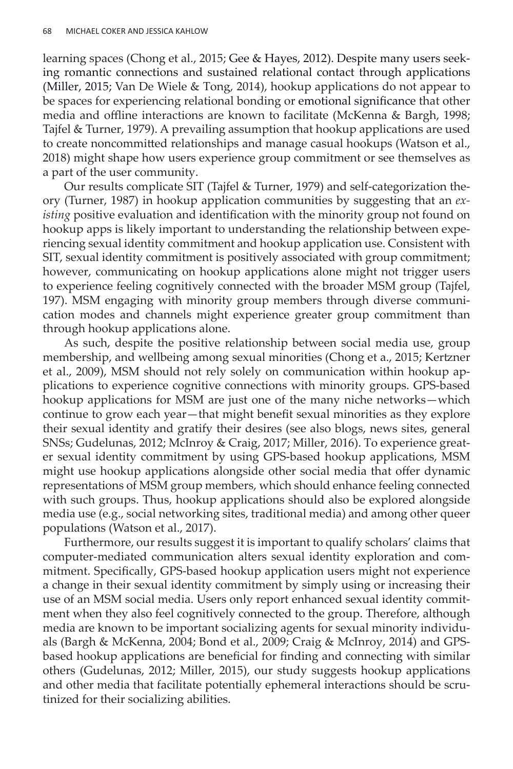learning spaces (Chong et al., 2015; Gee & Hayes, 2012). Despite many users seeking romantic connections and sustained relational contact through applications (Miller, 2015; Van De Wiele & Tong, 2014), hookup applications do not appear to be spaces for experiencing relational bonding or emotional significance that other media and offline interactions are known to facilitate (McKenna & Bargh, 1998; Tajfel & Turner, 1979). A prevailing assumption that hookup applications are used to create noncommitted relationships and manage casual hookups (Watson et al., 2018) might shape how users experience group commitment or see themselves as a part of the user community.

Our results complicate SIT (Tajfel & Turner, 1979) and self-categorization theory (Turner, 1987) in hookup application communities by suggesting that an *existing* positive evaluation and identification with the minority group not found on hookup apps is likely important to understanding the relationship between experiencing sexual identity commitment and hookup application use. Consistent with SIT, sexual identity commitment is positively associated with group commitment; however, communicating on hookup applications alone might not trigger users to experience feeling cognitively connected with the broader MSM group (Tajfel, 197). MSM engaging with minority group members through diverse communication modes and channels might experience greater group commitment than through hookup applications alone.

As such, despite the positive relationship between social media use, group membership, and wellbeing among sexual minorities (Chong et a., 2015; Kertzner et al., 2009), MSM should not rely solely on communication within hookup applications to experience cognitive connections with minority groups. GPS-based hookup applications for MSM are just one of the many niche networks—which continue to grow each year—that might benefit sexual minorities as they explore their sexual identity and gratify their desires (see also blogs, news sites, general SNSs; Gudelunas, 2012; McInroy & Craig, 2017; Miller, 2016). To experience greater sexual identity commitment by using GPS-based hookup applications, MSM might use hookup applications alongside other social media that offer dynamic representations of MSM group members, which should enhance feeling connected with such groups. Thus, hookup applications should also be explored alongside media use (e.g., social networking sites, traditional media) and among other queer populations (Watson et al., 2017).

Furthermore, our results suggest it is important to qualify scholars' claims that computer-mediated communication alters sexual identity exploration and commitment. Specifically, GPS-based hookup application users might not experience a change in their sexual identity commitment by simply using or increasing their use of an MSM social media. Users only report enhanced sexual identity commitment when they also feel cognitively connected to the group. Therefore, although media are known to be important socializing agents for sexual minority individuals (Bargh & McKenna, 2004; Bond et al., 2009; Craig & McInroy, 2014) and GPSbased hookup applications are beneficial for finding and connecting with similar others (Gudelunas, 2012; Miller, 2015), our study suggests hookup applications and other media that facilitate potentially ephemeral interactions should be scrutinized for their socializing abilities.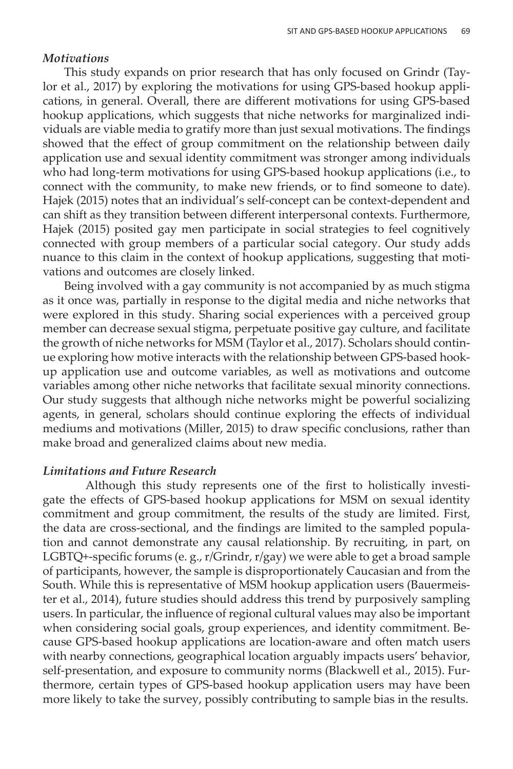#### *Motivations*

This study expands on prior research that has only focused on Grindr (Taylor et al., 2017) by exploring the motivations for using GPS-based hookup applications, in general. Overall, there are different motivations for using GPS-based hookup applications, which suggests that niche networks for marginalized individuals are viable media to gratify more than just sexual motivations. The findings showed that the effect of group commitment on the relationship between daily application use and sexual identity commitment was stronger among individuals who had long-term motivations for using GPS-based hookup applications (i.e., to connect with the community, to make new friends, or to find someone to date). Hajek (2015) notes that an individual's self-concept can be context-dependent and can shift as they transition between different interpersonal contexts. Furthermore, Hajek (2015) posited gay men participate in social strategies to feel cognitively connected with group members of a particular social category. Our study adds nuance to this claim in the context of hookup applications, suggesting that motivations and outcomes are closely linked.

Being involved with a gay community is not accompanied by as much stigma as it once was, partially in response to the digital media and niche networks that were explored in this study. Sharing social experiences with a perceived group member can decrease sexual stigma, perpetuate positive gay culture, and facilitate the growth of niche networks for MSM (Taylor et al., 2017). Scholars should continue exploring how motive interacts with the relationship between GPS-based hookup application use and outcome variables, as well as motivations and outcome variables among other niche networks that facilitate sexual minority connections. Our study suggests that although niche networks might be powerful socializing agents, in general, scholars should continue exploring the effects of individual mediums and motivations (Miller, 2015) to draw specific conclusions, rather than make broad and generalized claims about new media.

### *Limitations and Future Research*

Although this study represents one of the first to holistically investigate the effects of GPS-based hookup applications for MSM on sexual identity commitment and group commitment, the results of the study are limited. First, the data are cross-sectional, and the findings are limited to the sampled population and cannot demonstrate any causal relationship. By recruiting, in part, on LGBTQ+-specific forums (e. g., r/Grindr, r/gay) we were able to get a broad sample of participants, however, the sample is disproportionately Caucasian and from the South. While this is representative of MSM hookup application users (Bauermeister et al., 2014), future studies should address this trend by purposively sampling users. In particular, the influence of regional cultural values may also be important when considering social goals, group experiences, and identity commitment. Because GPS-based hookup applications are location-aware and often match users with nearby connections, geographical location arguably impacts users' behavior, self-presentation, and exposure to community norms (Blackwell et al., 2015). Furthermore, certain types of GPS-based hookup application users may have been more likely to take the survey, possibly contributing to sample bias in the results.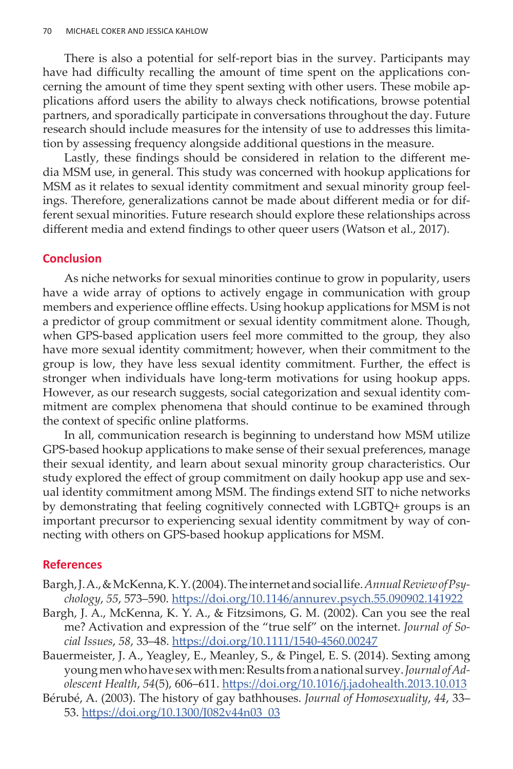There is also a potential for self-report bias in the survey. Participants may have had difficulty recalling the amount of time spent on the applications concerning the amount of time they spent sexting with other users. These mobile applications afford users the ability to always check notifications, browse potential partners, and sporadically participate in conversations throughout the day. Future research should include measures for the intensity of use to addresses this limitation by assessing frequency alongside additional questions in the measure.

Lastly, these findings should be considered in relation to the different media MSM use, in general. This study was concerned with hookup applications for MSM as it relates to sexual identity commitment and sexual minority group feelings. Therefore, generalizations cannot be made about different media or for different sexual minorities. Future research should explore these relationships across different media and extend findings to other queer users (Watson et al., 2017).

## **Conclusion**

As niche networks for sexual minorities continue to grow in popularity, users have a wide array of options to actively engage in communication with group members and experience offline effects. Using hookup applications for MSM is not a predictor of group commitment or sexual identity commitment alone. Though, when GPS-based application users feel more committed to the group, they also have more sexual identity commitment; however, when their commitment to the group is low, they have less sexual identity commitment. Further, the effect is stronger when individuals have long-term motivations for using hookup apps. However, as our research suggests, social categorization and sexual identity commitment are complex phenomena that should continue to be examined through the context of specific online platforms.

In all, communication research is beginning to understand how MSM utilize GPS-based hookup applications to make sense of their sexual preferences, manage their sexual identity, and learn about sexual minority group characteristics. Our study explored the effect of group commitment on daily hookup app use and sexual identity commitment among MSM. The findings extend SIT to niche networks by demonstrating that feeling cognitively connected with LGBTQ+ groups is an important precursor to experiencing sexual identity commitment by way of connecting with others on GPS-based hookup applications for MSM.

#### **References**

- Bargh, J. A., & McKenna, K. Y. (2004). The internet and social life. *Annual Review of Psychology*, *55*, 573–590. <https://doi.org/10.1146/annurev.psych.55.090902.141922>
- Bargh, J. A., McKenna, K. Y. A., & Fitzsimons, G. M. (2002). Can you see the real me? Activation and expression of the "true self" on the internet. *Journal of Social Issues*, *58*, 33–48.<https://doi.org/10.1111/1540-4560.00247>
- Bauermeister, J. A., Yeagley, E., Meanley, S., & Pingel, E. S. (2014). Sexting among young men who have sex with men: Results from a national survey. *Journal of Adolescent Health*, *54*(5), 606–611.<https://doi.org/10.1016/j.jadohealth.2013.10.013>
- Bérubé, A. (2003). The history of gay bathhouses. *Journal of Homosexuality*, *44*, 33– 53. [https://doi.org/10.1300/J082v44n03\\_03](https://doi.org/10.1300/J082v44n03_03)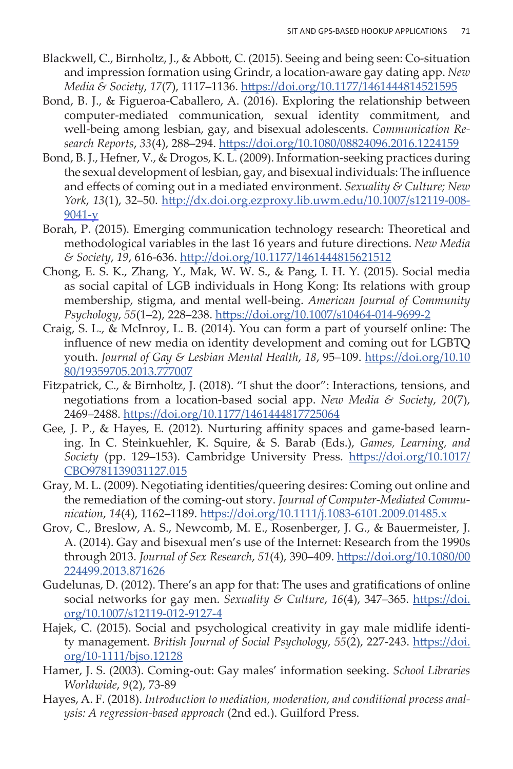- Blackwell, C., Birnholtz, J., & Abbott, C. (2015). Seeing and being seen: Co-situation and impression formation using Grindr, a location-aware gay dating app. *New Media & Society*, *17*(7), 1117–1136.<https://doi.org/10.1177/1461444814521595>
- Bond, B. J., & Figueroa-Caballero, A. (2016). Exploring the relationship between computer-mediated communication, sexual identity commitment, and well-being among lesbian, gay, and bisexual adolescents. *Communication Research Reports*, *33*(4), 288–294.<https://doi.org/10.1080/08824096.2016.1224159>
- Bond, B. J., Hefner, V., & Drogos, K. L. (2009). Information-seeking practices during the sexual development of lesbian, gay, and bisexual individuals: The influence and effects of coming out in a mediated environment. *Sexuality & Culture; New York*, *13*(1), 32–50. http://dx.doi.org.ezproxy.lib.uwm.edu/10.1007/s12119-008- 9041-y
- Borah, P. (2015). Emerging communication technology research: Theoretical and methodological variables in the last 16 years and future directions. *New Media & Society*, *19*, 616-636. <http://doi.org/10.1177/1461444815621512>
- Chong, E. S. K., Zhang, Y., Mak, W. W. S., & Pang, I. H. Y. (2015). Social media as social capital of LGB individuals in Hong Kong: Its relations with group membership, stigma, and mental well-being. *American Journal of Community Psychology*, *55*(1–2), 228–238.<https://doi.org/10.1007/s10464-014-9699-2>
- Craig, S. L., & McInroy, L. B. (2014). You can form a part of yourself online: The influence of new media on identity development and coming out for LGBTQ youth. *Journal of Gay & Lesbian Mental Health*, *18*, 95–109. [https://doi.org/10.10](https://doi.org/10.1080/19359705.2013.777007) [80/19359705.2013.777007](https://doi.org/10.1080/19359705.2013.777007)
- Fitzpatrick, C., & Birnholtz, J. (2018). "I shut the door": Interactions, tensions, and negotiations from a location-based social app. *New Media & Society*, *20*(7), 2469–2488. <https://doi.org/10.1177/1461444817725064>
- Gee, J. P., & Hayes, E. (2012). Nurturing affinity spaces and game-based learning. In C. Steinkuehler, K. Squire, & S. Barab (Eds.), *Games, Learning, and Society* (pp. 129–153). Cambridge University Press. [https://doi.org/10.1017/](https://doi.org/10.1017/CBO9781139031127.015) [CBO9781139031127.015](https://doi.org/10.1017/CBO9781139031127.015)
- Gray, M. L. (2009). Negotiating identities/queering desires: Coming out online and the remediation of the coming-out story. *Journal of Computer-Mediated Communication*, *14*(4), 1162–1189. <https://doi.org/10.1111/j.1083-6101.2009.01485.x>
- Grov, C., Breslow, A. S., Newcomb, M. E., Rosenberger, J. G., & Bauermeister, J. A. (2014). Gay and bisexual men's use of the Internet: Research from the 1990s through 2013. *Journal of Sex Research*, *51*(4), 390–409. [https://doi.org/10.1080/00](https://doi.org/10.1080/00224499.2013.871626) [224499.2013.871626](https://doi.org/10.1080/00224499.2013.871626)
- Gudelunas, D. (2012). There's an app for that: The uses and gratifications of online social networks for gay men. *Sexuality & Culture*, 16(4), 347-365. [https://doi.](https://doi.org/10.1007/s12119-012-9127-4) [org/10.1007/s12119-012-9127-4](https://doi.org/10.1007/s12119-012-9127-4)
- Hajek, C. (2015). Social and psychological creativity in gay male midlife identity management. *British Journal of Social Psychology, 55(2)*, 227-243. [https://doi.](https://doi.org/10-1111/bjso.12128) [org/10-1111/bjso.12128](https://doi.org/10-1111/bjso.12128)
- Hamer, J. S. (2003). Coming-out: Gay males' information seeking. *School Libraries Worldwide*, *9*(2), 73-89
- Hayes, A. F. (2018). *Introduction to mediation, moderation, and conditional process analysis: A regression-based approach* (2nd ed.). Guilford Press.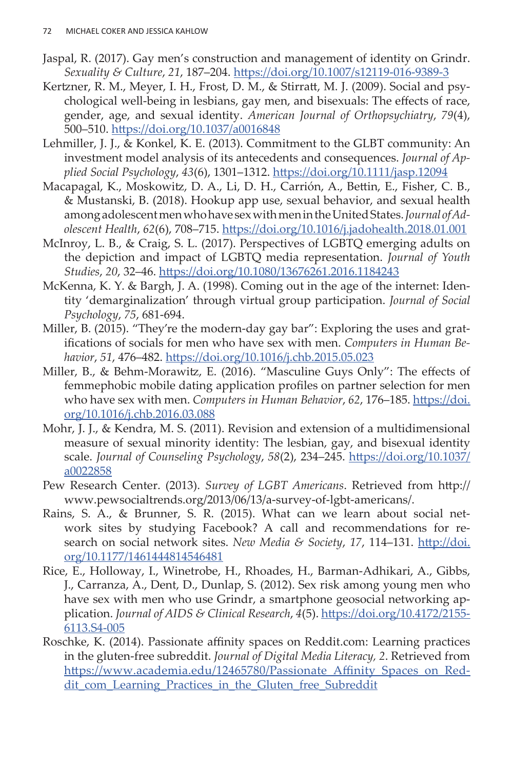- Jaspal, R. (2017). Gay men's construction and management of identity on Grindr. *Sexuality & Culture*, *21*, 187–204. <https://doi.org/10.1007/s12119-016-9389-3>
- Kertzner, R. M., Meyer, I. H., Frost, D. M., & Stirratt, M. J. (2009). Social and psychological well-being in lesbians, gay men, and bisexuals: The effects of race, gender, age, and sexual identity. *American Journal of Orthopsychiatry*, *79*(4), 500–510. <https://doi.org/10.1037/a0016848>
- Lehmiller, J. J., & Konkel, K. E. (2013). Commitment to the GLBT community: An investment model analysis of its antecedents and consequences. *Journal of Applied Social Psychology*, *43*(6), 1301–1312. <https://doi.org/10.1111/jasp.12094>
- Macapagal, K., Moskowitz, D. A., Li, D. H., Carrión, A., Bettin, E., Fisher, C. B., & Mustanski, B. (2018). Hookup app use, sexual behavior, and sexual health among adolescent men who have sex with men in the United States. *Journal of Adolescent Health*, *62*(6), 708–715.<https://doi.org/10.1016/j.jadohealth.2018.01.001>
- McInroy, L. B., & Craig, S. L. (2017). Perspectives of LGBTQ emerging adults on the depiction and impact of LGBTQ media representation. *Journal of Youth Studies*, *20*, 32–46.<https://doi.org/10.1080/13676261.2016.1184243>
- McKenna, K. Y. & Bargh, J. A. (1998). Coming out in the age of the internet: Identity 'demarginalization' through virtual group participation. *Journal of Social Psychology*, *75*, 681-694.
- Miller, B. (2015). "They're the modern-day gay bar": Exploring the uses and gratifications of socials for men who have sex with men. *Computers in Human Behavior*, *51*, 476–482. <https://doi.org/10.1016/j.chb.2015.05.023>
- Miller, B., & Behm-Morawitz, E. (2016). "Masculine Guys Only": The effects of femmephobic mobile dating application profiles on partner selection for men who have sex with men. *Computers in Human Behavior*, *62*, 176–185. [https://doi.](https://doi.org/10.1016/j.chb.2016.03.088) [org/10.1016/j.chb.2016.03.088](https://doi.org/10.1016/j.chb.2016.03.088)
- Mohr, J. J., & Kendra, M. S. (2011). Revision and extension of a multidimensional measure of sexual minority identity: The lesbian, gay, and bisexual identity scale. *Journal of Counseling Psychology*, *58*(2), 234–245. [https://doi.org/10.1037/](https://doi.org/10.1037/a0022858) [a0022858](https://doi.org/10.1037/a0022858)
- Pew Research Center. (2013). *Survey of LGBT Americans*. Retrieved from http:// www.pewsocialtrends.org/2013/06/13/a-survey-of-lgbt-americans/.
- Rains, S. A., & Brunner, S. R. (2015). What can we learn about social network sites by studying Facebook? A call and recommendations for research on social network sites. *New Media & Society*, *17*, 114–131. [http://doi.](http://doi.org/10.1177/1461444814546481) [org/10.1177/1461444814546481](http://doi.org/10.1177/1461444814546481)
- Rice, E., Holloway, I., Winetrobe, H., Rhoades, H., Barman-Adhikari, A., Gibbs, J., Carranza, A., Dent, D., Dunlap, S. (2012). Sex risk among young men who have sex with men who use Grindr, a smartphone geosocial networking application. *Journal of AIDS & Clinical Research*, *4*(5). [https://doi.org/10.4172/2155-](https://doi.org/10.4172/2155-6113.S4-005) [6113.S4-005](https://doi.org/10.4172/2155-6113.S4-005)
- Roschke, K. (2014). Passionate affinity spaces on Reddit.com: Learning practices in the gluten-free subreddit. *Journal of Digital Media Literacy, 2*. Retrieved from [https://www.academia.edu/12465780/Passionate\\_Affinity\\_Spaces\\_on\\_Red](https://www.academia.edu/12465780/Passionate_Affinity_Spaces_on_Reddit_com_Learning_Practices_in_the_Gluten_free_Subreddit)[dit\\_com\\_Learning\\_Practices\\_in\\_the\\_Gluten\\_free\\_Subreddit](https://www.academia.edu/12465780/Passionate_Affinity_Spaces_on_Reddit_com_Learning_Practices_in_the_Gluten_free_Subreddit)